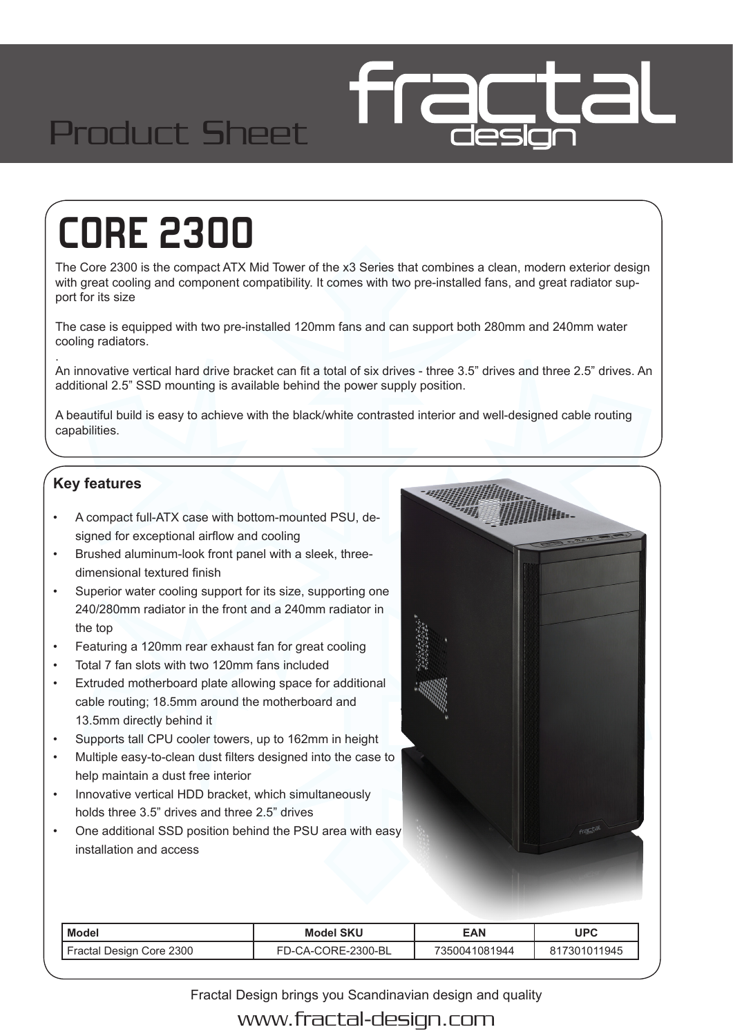## Product Sheet

# **CORE 2300**

The Core 2300 is the compact ATX Mid Tower of the x3 Series that combines a clean, modern exterior design with great cooling and component compatibility. It comes with two pre-installed fans, and great radiator support for its size

The case is equipped with two pre-installed 120mm fans and can support both 280mm and 240mm water cooling radiators.

. An innovative vertical hard drive bracket can fit a total of six drives - three 3.5" drives and three 2.5" drives. An additional 2.5" SSD mounting is available behind the power supply position.

A beautiful build is easy to achieve with the black/white contrasted interior and well-designed cable routing capabilities.

#### **Key features**

- A compact full-ATX case with bottom-mounted PSU, designed for exceptional airflow and cooling
- Brushed aluminum-look front panel with a sleek, threedimensional textured finish
- Superior water cooling support for its size, supporting one 240/280mm radiator in the front and a 240mm radiator in the top
- Featuring a 120mm rear exhaust fan for great cooling
- Total 7 fan slots with two 120mm fans included
- Extruded motherboard plate allowing space for additional cable routing; 18.5mm around the motherboard and 13.5mm directly behind it
- Supports tall CPU cooler towers, up to 162mm in height
- Multiple easy-to-clean dust filters designed into the case to help maintain a dust free interior
- Innovative vertical HDD bracket, which simultaneously holds three 3.5" drives and three 2.5" drives
- One additional SSD position behind the PSU area with easy installation and access



| <b>Model</b>             | <b>Model SKU</b>                        | <b>EAN</b>        | UPC        |
|--------------------------|-----------------------------------------|-------------------|------------|
| Fractal Design Core 2300 | <b>ORE-2300-BL</b><br>CA-CC<br>$-1 - 1$ | 35004°<br>1081944 | 7301011945 |

Fractal Design brings you Scandinavian design and quality

www.fractal-design.com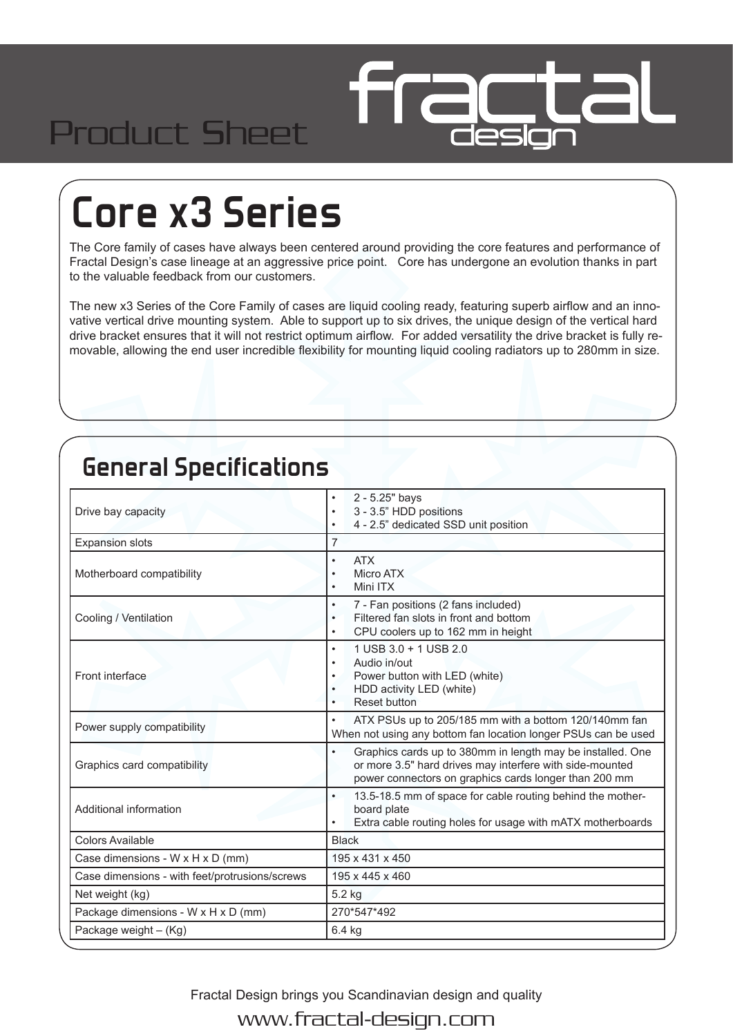## Product Sheet

## **Core x3 Series**

The Core family of cases have always been centered around providing the core features and performance of Fractal Design's case lineage at an aggressive price point. Core has undergone an evolution thanks in part to the valuable feedback from our customers.

The new x3 Series of the Core Family of cases are liquid cooling ready, featuring superb airflow and an innovative vertical drive mounting system. Able to support up to six drives, the unique design of the vertical hard drive bracket ensures that it will not restrict optimum airflow. For added versatility the drive bracket is fully removable, allowing the end user incredible flexibility for mounting liquid cooling radiators up to 280mm in size.

### **General Specifications**

| Drive bay capacity                             | 2 - 5.25" bays<br>3 - 3.5" HDD positions<br>4 - 2.5" dedicated SSD unit position                                                                                                |  |
|------------------------------------------------|---------------------------------------------------------------------------------------------------------------------------------------------------------------------------------|--|
| <b>Expansion slots</b>                         | 7                                                                                                                                                                               |  |
| Motherboard compatibility                      | <b>ATX</b><br>$\bullet$<br><b>Micro ATX</b><br>Mini ITX<br>٠                                                                                                                    |  |
| Cooling / Ventilation                          | 7 - Fan positions (2 fans included)<br>$\bullet$<br>Filtered fan slots in front and bottom<br>٠<br>CPU coolers up to 162 mm in height<br>$\bullet$                              |  |
| Front interface                                | 1 USB 3.0 + 1 USB 2.0<br>$\bullet$<br>Audio in/out<br>٠<br>Power button with LED (white)<br>٠<br>HDD activity LED (white)<br><b>Reset button</b><br>$\bullet$                   |  |
| Power supply compatibility                     | ATX PSUs up to 205/185 mm with a bottom 120/140mm fan<br>$\bullet$<br>When not using any bottom fan location longer PSUs can be used                                            |  |
| Graphics card compatibility                    | Graphics cards up to 380mm in length may be installed. One<br>or more 3.5" hard drives may interfere with side-mounted<br>power connectors on graphics cards longer than 200 mm |  |
| Additional information                         | 13.5-18.5 mm of space for cable routing behind the mother-<br>$\bullet$<br>board plate<br>Extra cable routing holes for usage with mATX motherboards                            |  |
| <b>Colors Available</b>                        | <b>Black</b>                                                                                                                                                                    |  |
| Case dimensions - W x H x D (mm)               | 195 x 431 x 450                                                                                                                                                                 |  |
| Case dimensions - with feet/protrusions/screws | 195 x 445 x 460                                                                                                                                                                 |  |
| Net weight (kg)                                | 5.2 kg                                                                                                                                                                          |  |
| Package dimensions - W x H x D (mm)            | 270*547*492                                                                                                                                                                     |  |
| Package weight - (Kg)                          | 6.4 kg                                                                                                                                                                          |  |
|                                                |                                                                                                                                                                                 |  |

Fractal Design brings you Scandinavian design and quality

www.fractal-design.com